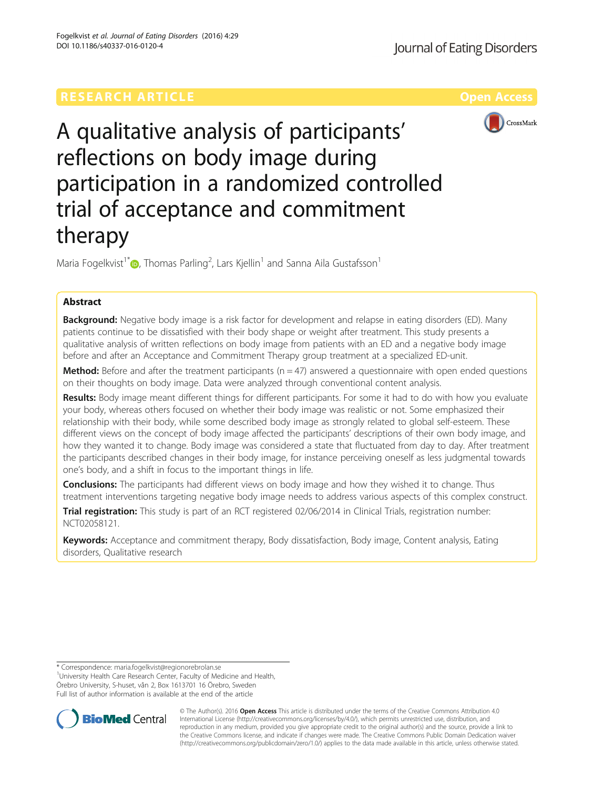

A qualitative analysis of participants' reflections on body image during participation in a randomized controlled trial of acceptance and commitment therapy

Maria Fogelkvist $^{\dagger}$  ( ), Thomas Parling $^2$ , Lars Kjellin $^1$  and Sanna Aila Gustafsson $^1$ 

# Abstract

Background: Negative body image is a risk factor for development and relapse in eating disorders (ED). Many patients continue to be dissatisfied with their body shape or weight after treatment. This study presents a qualitative analysis of written reflections on body image from patients with an ED and a negative body image before and after an Acceptance and Commitment Therapy group treatment at a specialized ED-unit.

**Method:** Before and after the treatment participants ( $n = 47$ ) answered a questionnaire with open ended questions on their thoughts on body image. Data were analyzed through conventional content analysis.

Results: Body image meant different things for different participants. For some it had to do with how you evaluate your body, whereas others focused on whether their body image was realistic or not. Some emphasized their relationship with their body, while some described body image as strongly related to global self-esteem. These different views on the concept of body image affected the participants' descriptions of their own body image, and how they wanted it to change. Body image was considered a state that fluctuated from day to day. After treatment the participants described changes in their body image, for instance perceiving oneself as less judgmental towards one's body, and a shift in focus to the important things in life.

**Conclusions:** The participants had different views on body image and how they wished it to change. Thus treatment interventions targeting negative body image needs to address various aspects of this complex construct.

Trial registration: This study is part of an RCT registered 02/06/2014 in Clinical Trials, registration number: [NCT02058121](https://clinicaltrials.gov/ct2/show/NCT02058121?term=NCT02058121&rank=1).

Keywords: Acceptance and commitment therapy, Body dissatisfaction, Body image, Content analysis, Eating disorders, Qualitative research

<sup>1</sup>University Health Care Research Center, Faculty of Medicine and Health, Örebro University, S-huset, vån 2, Box 1613701 16 Örebro, Sweden Full list of author information is available at the end of the article



© The Author(s). 2016 Open Access This article is distributed under the terms of the Creative Commons Attribution 4.0 International License [\(http://creativecommons.org/licenses/by/4.0/](http://creativecommons.org/licenses/by/4.0/)), which permits unrestricted use, distribution, and reproduction in any medium, provided you give appropriate credit to the original author(s) and the source, provide a link to the Creative Commons license, and indicate if changes were made. The Creative Commons Public Domain Dedication waiver [\(http://creativecommons.org/publicdomain/zero/1.0/](http://creativecommons.org/publicdomain/zero/1.0/)) applies to the data made available in this article, unless otherwise stated.

<sup>\*</sup> Correspondence: [maria.fogelkvist@regionorebrolan.se](mailto:maria.fogelkvist@regionorebrolan.se) <sup>1</sup>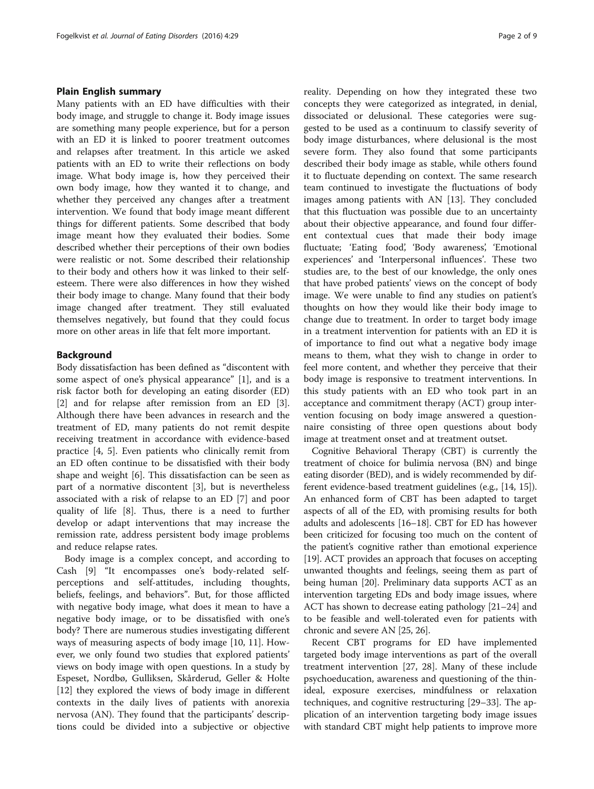## Plain English summary

Many patients with an ED have difficulties with their body image, and struggle to change it. Body image issues are something many people experience, but for a person with an ED it is linked to poorer treatment outcomes and relapses after treatment. In this article we asked patients with an ED to write their reflections on body image. What body image is, how they perceived their own body image, how they wanted it to change, and whether they perceived any changes after a treatment intervention. We found that body image meant different things for different patients. Some described that body image meant how they evaluated their bodies. Some described whether their perceptions of their own bodies were realistic or not. Some described their relationship to their body and others how it was linked to their selfesteem. There were also differences in how they wished their body image to change. Many found that their body image changed after treatment. They still evaluated themselves negatively, but found that they could focus more on other areas in life that felt more important.

#### Background

Body dissatisfaction has been defined as "discontent with some aspect of one's physical appearance" [\[1\]](#page-7-0), and is a risk factor both for developing an eating disorder (ED) [[2\]](#page-7-0) and for relapse after remission from an ED [\[3](#page-7-0)]. Although there have been advances in research and the treatment of ED, many patients do not remit despite receiving treatment in accordance with evidence-based practice [\[4](#page-7-0), [5\]](#page-7-0). Even patients who clinically remit from an ED often continue to be dissatisfied with their body shape and weight [\[6\]](#page-7-0). This dissatisfaction can be seen as part of a normative discontent [\[3](#page-7-0)], but is nevertheless associated with a risk of relapse to an ED [[7](#page-8-0)] and poor quality of life [\[8](#page-8-0)]. Thus, there is a need to further develop or adapt interventions that may increase the remission rate, address persistent body image problems and reduce relapse rates.

Body image is a complex concept, and according to Cash [[9](#page-8-0)] "It encompasses one's body-related selfperceptions and self-attitudes, including thoughts, beliefs, feelings, and behaviors". But, for those afflicted with negative body image, what does it mean to have a negative body image, or to be dissatisfied with one's body? There are numerous studies investigating different ways of measuring aspects of body image [[10, 11\]](#page-8-0). However, we only found two studies that explored patients' views on body image with open questions. In a study by Espeset, Nordbø, Gulliksen, Skårderud, Geller & Holte [[12\]](#page-8-0) they explored the views of body image in different contexts in the daily lives of patients with anorexia nervosa (AN). They found that the participants' descriptions could be divided into a subjective or objective reality. Depending on how they integrated these two concepts they were categorized as integrated, in denial, dissociated or delusional. These categories were suggested to be used as a continuum to classify severity of body image disturbances, where delusional is the most severe form. They also found that some participants described their body image as stable, while others found it to fluctuate depending on context. The same research team continued to investigate the fluctuations of body images among patients with AN [[13](#page-8-0)]. They concluded that this fluctuation was possible due to an uncertainty about their objective appearance, and found four different contextual cues that made their body image fluctuate; 'Eating food', 'Body awareness', 'Emotional experiences' and 'Interpersonal influences'. These two studies are, to the best of our knowledge, the only ones that have probed patients' views on the concept of body image. We were unable to find any studies on patient's thoughts on how they would like their body image to change due to treatment. In order to target body image in a treatment intervention for patients with an ED it is of importance to find out what a negative body image means to them, what they wish to change in order to feel more content, and whether they perceive that their body image is responsive to treatment interventions. In this study patients with an ED who took part in an acceptance and commitment therapy (ACT) group intervention focusing on body image answered a questionnaire consisting of three open questions about body image at treatment onset and at treatment outset.

Cognitive Behavioral Therapy (CBT) is currently the treatment of choice for bulimia nervosa (BN) and binge eating disorder (BED), and is widely recommended by different evidence-based treatment guidelines (e.g., [[14](#page-8-0), [15](#page-8-0)]). An enhanced form of CBT has been adapted to target aspects of all of the ED, with promising results for both adults and adolescents [\[16](#page-8-0)–[18](#page-8-0)]. CBT for ED has however been criticized for focusing too much on the content of the patient's cognitive rather than emotional experience [[19](#page-8-0)]. ACT provides an approach that focuses on accepting unwanted thoughts and feelings, seeing them as part of being human [[20](#page-8-0)]. Preliminary data supports ACT as an intervention targeting EDs and body image issues, where ACT has shown to decrease eating pathology [[21](#page-8-0)–[24\]](#page-8-0) and to be feasible and well-tolerated even for patients with chronic and severe AN [\[25, 26](#page-8-0)].

Recent CBT programs for ED have implemented targeted body image interventions as part of the overall treatment intervention [[27, 28](#page-8-0)]. Many of these include psychoeducation, awareness and questioning of the thinideal, exposure exercises, mindfulness or relaxation techniques, and cognitive restructuring [\[29](#page-8-0)–[33\]](#page-8-0). The application of an intervention targeting body image issues with standard CBT might help patients to improve more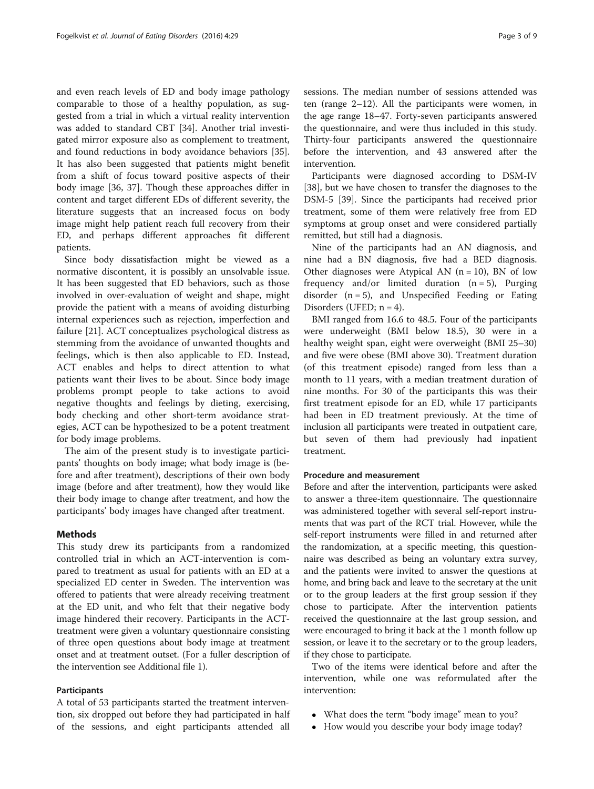and even reach levels of ED and body image pathology comparable to those of a healthy population, as suggested from a trial in which a virtual reality intervention was added to standard CBT [[34\]](#page-8-0). Another trial investigated mirror exposure also as complement to treatment, and found reductions in body avoidance behaviors [\[35](#page-8-0)]. It has also been suggested that patients might benefit from a shift of focus toward positive aspects of their body image [[36](#page-8-0), [37](#page-8-0)]. Though these approaches differ in content and target different EDs of different severity, the literature suggests that an increased focus on body image might help patient reach full recovery from their ED, and perhaps different approaches fit different patients.

Since body dissatisfaction might be viewed as a normative discontent, it is possibly an unsolvable issue. It has been suggested that ED behaviors, such as those involved in over-evaluation of weight and shape, might provide the patient with a means of avoiding disturbing internal experiences such as rejection, imperfection and failure [[21](#page-8-0)]. ACT conceptualizes psychological distress as stemming from the avoidance of unwanted thoughts and feelings, which is then also applicable to ED. Instead, ACT enables and helps to direct attention to what patients want their lives to be about. Since body image problems prompt people to take actions to avoid negative thoughts and feelings by dieting, exercising, body checking and other short-term avoidance strategies, ACT can be hypothesized to be a potent treatment for body image problems.

The aim of the present study is to investigate participants' thoughts on body image; what body image is (before and after treatment), descriptions of their own body image (before and after treatment), how they would like their body image to change after treatment, and how the participants' body images have changed after treatment.

## Methods

This study drew its participants from a randomized controlled trial in which an ACT-intervention is compared to treatment as usual for patients with an ED at a specialized ED center in Sweden. The intervention was offered to patients that were already receiving treatment at the ED unit, and who felt that their negative body image hindered their recovery. Participants in the ACTtreatment were given a voluntary questionnaire consisting of three open questions about body image at treatment onset and at treatment outset. (For a fuller description of the intervention see Additional file [1](#page-7-0)).

## Participants

A total of 53 participants started the treatment intervention, six dropped out before they had participated in half of the sessions, and eight participants attended all sessions. The median number of sessions attended was ten (range 2–12). All the participants were women, in the age range 18–47. Forty-seven participants answered the questionnaire, and were thus included in this study. Thirty-four participants answered the questionnaire before the intervention, and 43 answered after the intervention.

Participants were diagnosed according to DSM-IV [[38\]](#page-8-0), but we have chosen to transfer the diagnoses to the DSM-5 [\[39](#page-8-0)]. Since the participants had received prior treatment, some of them were relatively free from ED symptoms at group onset and were considered partially remitted, but still had a diagnosis.

Nine of the participants had an AN diagnosis, and nine had a BN diagnosis, five had a BED diagnosis. Other diagnoses were Atypical AN  $(n = 10)$ , BN of low frequency and/or limited duration  $(n = 5)$ , Purging disorder  $(n = 5)$ , and Unspecified Feeding or Eating Disorders (UFED;  $n = 4$ ).

BMI ranged from 16.6 to 48.5. Four of the participants were underweight (BMI below 18.5), 30 were in a healthy weight span, eight were overweight (BMI 25–30) and five were obese (BMI above 30). Treatment duration (of this treatment episode) ranged from less than a month to 11 years, with a median treatment duration of nine months. For 30 of the participants this was their first treatment episode for an ED, while 17 participants had been in ED treatment previously. At the time of inclusion all participants were treated in outpatient care, but seven of them had previously had inpatient treatment.

#### Procedure and measurement

Before and after the intervention, participants were asked to answer a three-item questionnaire. The questionnaire was administered together with several self-report instruments that was part of the RCT trial. However, while the self-report instruments were filled in and returned after the randomization, at a specific meeting, this questionnaire was described as being an voluntary extra survey, and the patients were invited to answer the questions at home, and bring back and leave to the secretary at the unit or to the group leaders at the first group session if they chose to participate. After the intervention patients received the questionnaire at the last group session, and were encouraged to bring it back at the 1 month follow up session, or leave it to the secretary or to the group leaders, if they chose to participate.

Two of the items were identical before and after the intervention, while one was reformulated after the intervention:

- What does the term "body image" mean to you?
- How would you describe your body image today?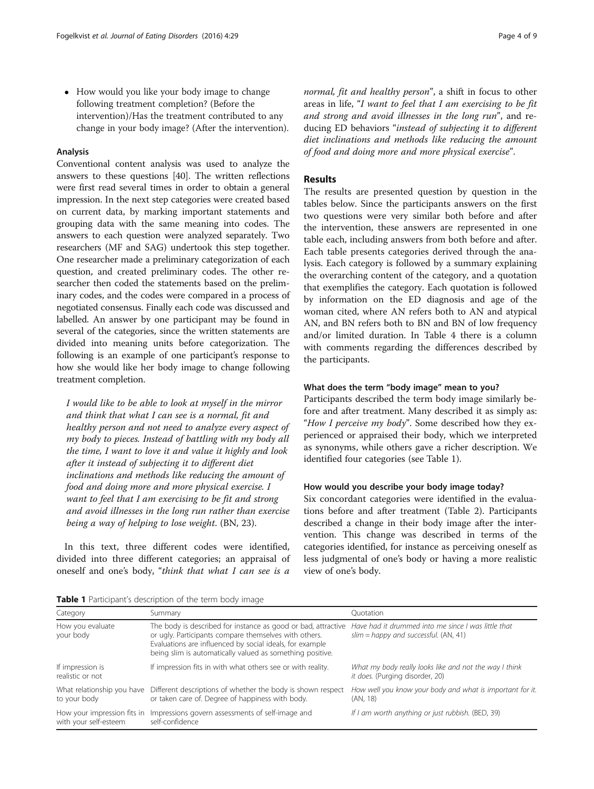• How would you like your body image to change following treatment completion? (Before the intervention)/Has the treatment contributed to any change in your body image? (After the intervention).

#### Analysis

Conventional content analysis was used to analyze the answers to these questions [\[40\]](#page-8-0). The written reflections were first read several times in order to obtain a general impression. In the next step categories were created based on current data, by marking important statements and grouping data with the same meaning into codes. The answers to each question were analyzed separately. Two researchers (MF and SAG) undertook this step together. One researcher made a preliminary categorization of each question, and created preliminary codes. The other researcher then coded the statements based on the preliminary codes, and the codes were compared in a process of negotiated consensus. Finally each code was discussed and labelled. An answer by one participant may be found in several of the categories, since the written statements are divided into meaning units before categorization. The following is an example of one participant's response to how she would like her body image to change following treatment completion.

I would like to be able to look at myself in the mirror and think that what I can see is a normal, fit and healthy person and not need to analyze every aspect of my body to pieces. Instead of battling with my body all the time, I want to love it and value it highly and look after it instead of subjecting it to different diet inclinations and methods like reducing the amount of food and doing more and more physical exercise. I want to feel that I am exercising to be fit and strong and avoid illnesses in the long run rather than exercise being a way of helping to lose weight. (BN, 23).

In this text, three different codes were identified, divided into three different categories; an appraisal of oneself and one's body, "think that what I can see is a normal, fit and healthy person", a shift in focus to other areas in life, "I want to feel that I am exercising to be fit and strong and avoid illnesses in the long run", and reducing ED behaviors "instead of subjecting it to different diet inclinations and methods like reducing the amount of food and doing more and more physical exercise".

# Results

The results are presented question by question in the tables below. Since the participants answers on the first two questions were very similar both before and after the intervention, these answers are represented in one table each, including answers from both before and after. Each table presents categories derived through the analysis. Each category is followed by a summary explaining the overarching content of the category, and a quotation that exemplifies the category. Each quotation is followed by information on the ED diagnosis and age of the woman cited, where AN refers both to AN and atypical AN, and BN refers both to BN and BN of low frequency and/or limited duration. In Table [4](#page-6-0) there is a column with comments regarding the differences described by the participants.

## What does the term "body image" mean to you?

Participants described the term body image similarly before and after treatment. Many described it as simply as: "How I perceive my body". Some described how they experienced or appraised their body, which we interpreted as synonyms, while others gave a richer description. We identified four categories (see Table 1).

## How would you describe your body image today?

Six concordant categories were identified in the evaluations before and after treatment (Table [2](#page-4-0)). Participants described a change in their body image after the intervention. This change was described in terms of the categories identified, for instance as perceiving oneself as less judgmental of one's body or having a more realistic view of one's body.

Table 1 Participant's description of the term body image

| Category                                             | Summary                                                                                                                                                                                                                                         | Ouotation                                                                                      |
|------------------------------------------------------|-------------------------------------------------------------------------------------------------------------------------------------------------------------------------------------------------------------------------------------------------|------------------------------------------------------------------------------------------------|
| How you evaluate<br>your body                        | The body is described for instance as good or bad, attractive<br>or ugly. Participants compare themselves with others.<br>Evaluations are influenced by social ideals, for example<br>being slim is automatically valued as something positive. | Have had it drummed into me since I was little that<br>$slim =$ happy and successful. (AN, 41) |
| If impression is<br>realistic or not                 | If impression fits in with what others see or with reality.                                                                                                                                                                                     | What my body really looks like and not the way I think<br>it does. (Purging disorder, 20)      |
| What relationship you have<br>to your body           | Different descriptions of whether the body is shown respect<br>or taken care of. Degree of happiness with body.                                                                                                                                 | How well you know your body and what is important for it.<br>(AN, 18)                          |
| How your impression fits in<br>with your self-esteem | Impressions govern assessments of self-image and<br>self-confidence                                                                                                                                                                             | If I am worth anything or just rubbish. (BED, 39)                                              |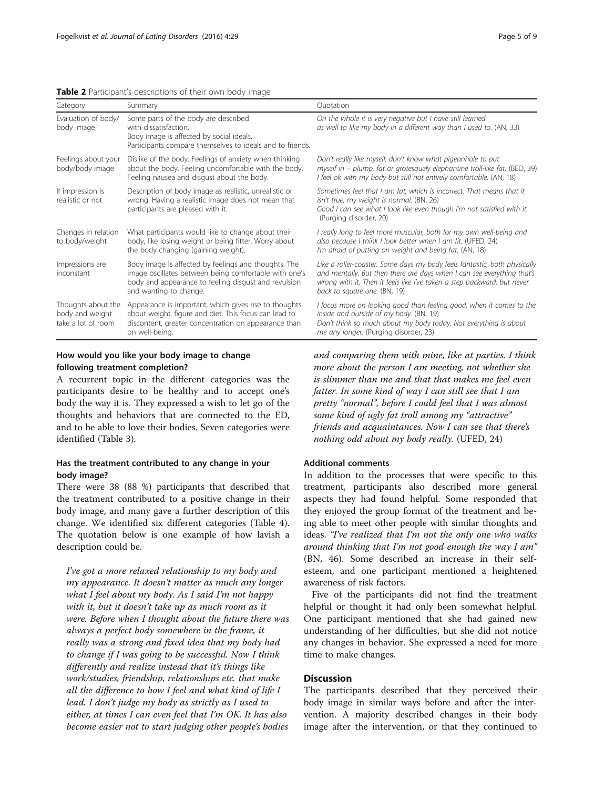<span id="page-4-0"></span>

|  | Table 2 Participant's descriptions of their own body image |  |
|--|------------------------------------------------------------|--|
|--|------------------------------------------------------------|--|

| Category                                                    | Summary                                                                                                                                                                                         | Quotation                                                                                                                                                                                                                                                      |
|-------------------------------------------------------------|-------------------------------------------------------------------------------------------------------------------------------------------------------------------------------------------------|----------------------------------------------------------------------------------------------------------------------------------------------------------------------------------------------------------------------------------------------------------------|
| Evaluation of body/<br>body image                           | Some parts of the body are described<br>with dissatisfaction.<br>Body image is affected by social ideals.<br>Participants compare themselves to ideals and to friends.                          | On the whole it is very negative but I have still learned<br>as well to like my body in a different way than I used to. (AN, 33)                                                                                                                               |
| Feelings about your<br>body/body image                      | Dislike of the body. Feelings of anxiety when thinking<br>about the body. Feeling uncomfortable with the body.<br>Feeling nausea and disgust about the body.                                    | Don't really like myself, don't know what pigeonhole to put<br>myself in - plump, fat or grotesquely elephantine troll-like fat. (BED, 39)<br>I feel ok with my body but still not entirely comfortable. (AN, 18)                                              |
| If impression is<br>realistic or not                        | Description of body image as realistic, unrealistic or<br>wrong. Having a realistic image does not mean that<br>participants are pleased with it.                                               | Sometimes feel that I am fat, which is incorrect. That means that it<br>isn't true, my weight is normal. (BN, 26)<br>Good I can see what I look like even though I'm not satisfied with it.<br>(Purging disorder, 20)                                          |
| Changes in relation<br>to body/weight                       | What participants would like to change about their<br>body, like losing weight or being fitter. Worry about<br>the body changing (gaining weight).                                              | I really long to feel more muscular, both for my own well-being and<br>also because I think I look better when I am fit. (UFED, 24)<br>I'm afraid of putting on weight and being fat. (AN, 18)                                                                 |
| Impressions are<br>inconstant                               | Body image is affected by feelings and thoughts. The<br>image oscillates between being comfortable with one's<br>body and appearance to feeling disgust and revulsion<br>and wanting to change. | Like a roller-coaster. Some days my body feels fantastic, both physically<br>and mentally. But then there are days when I can see everything that's<br>wrong with it. Then it feels like I've taken a step backward, but never<br>back to square one. (BN, 19) |
| Thoughts about the<br>body and weight<br>take a lot of room | Appearance is important, which gives rise to thoughts<br>about weight, figure and diet. This focus can lead to<br>discontent, greater concentration on appearance than<br>on well-being.        | I focus more on looking good than feeling good, when it comes to the<br>inside and outside of my body. (BN, 19)<br>Don't think so much about my body today. Not everything is about<br>me any longer. (Purging disorder, 23)                                   |

# How would you like your body image to change following treatment completion?

A recurrent topic in the different categories was the participants desire to be healthy and to accept one's body the way it is. They expressed a wish to let go of the thoughts and behaviors that are connected to the ED, and to be able to love their bodies. Seven categories were identified (Table [3](#page-5-0)).

## Has the treatment contributed to any change in your body image?

There were 38 (88 %) participants that described that the treatment contributed to a positive change in their body image, and many gave a further description of this change. We identified six different categories (Table [4](#page-6-0)). The quotation below is one example of how lavish a description could be.

I've got a more relaxed relationship to my body and my appearance. It doesn't matter as much any longer what I feel about my body. As I said I'm not happy with it, but it doesn't take up as much room as it were. Before when I thought about the future there was always a perfect body somewhere in the frame, it really was a strong and fixed idea that my body had to change if I was going to be successful. Now I think differently and realize instead that it's things like work/studies, friendship, relationships etc. that make all the difference to how I feel and what kind of life I lead. I don't judge my body as strictly as I used to either, at times I can even feel that I'm OK. It has also become easier not to start judging other people's bodies

and comparing them with mine, like at parties. I think more about the person I am meeting, not whether she is slimmer than me and that that makes me feel even fatter. In some kind of way I can still see that I am pretty "normal", before I could feel that I was almost some kind of ugly fat troll among my "attractive" friends and acquaintances. Now I can see that there's nothing odd about my body really. (UFED, 24)

## Additional comments

In addition to the processes that were specific to this treatment, participants also described more general aspects they had found helpful. Some responded that they enjoyed the group format of the treatment and being able to meet other people with similar thoughts and ideas. "I've realized that I'm not the only one who walks around thinking that I'm not good enough the way I am" (BN, 46). Some described an increase in their selfesteem, and one participant mentioned a heightened awareness of risk factors.

Five of the participants did not find the treatment helpful or thought it had only been somewhat helpful. One participant mentioned that she had gained new understanding of her difficulties, but she did not notice any changes in behavior. She expressed a need for more time to make changes.

## **Discussion**

The participants described that they perceived their body image in similar ways before and after the intervention. A majority described changes in their body image after the intervention, or that they continued to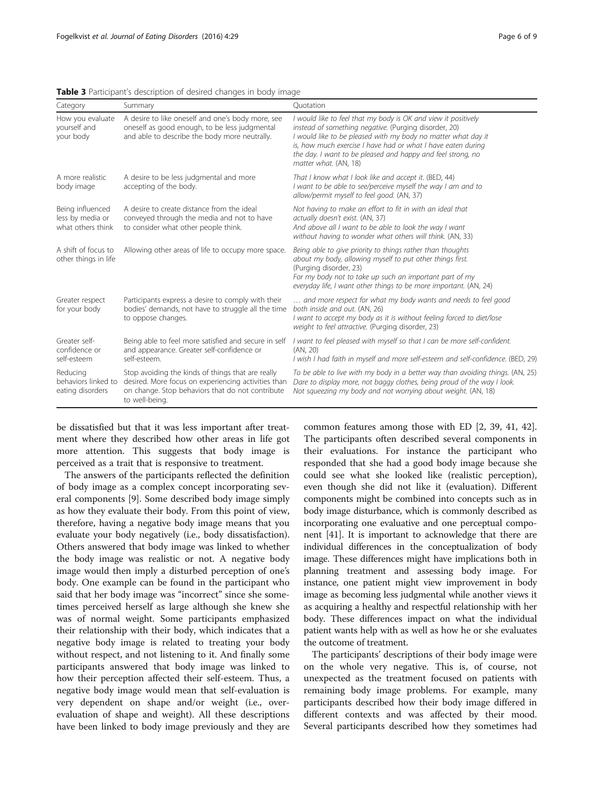| Category                                                  | Summary                                                                                                                                                                        | Ouotation                                                                                                                                                                                                                                                                                                                                        |  |
|-----------------------------------------------------------|--------------------------------------------------------------------------------------------------------------------------------------------------------------------------------|--------------------------------------------------------------------------------------------------------------------------------------------------------------------------------------------------------------------------------------------------------------------------------------------------------------------------------------------------|--|
| How you evaluate<br>yourself and<br>your body             | A desire to like oneself and one's body more, see<br>oneself as good enough, to be less judgmental<br>and able to describe the body more neutrally.                            | I would like to feel that my body is OK and view it positively<br>instead of something negative. (Purging disorder, 20)<br>I would like to be pleased with my body no matter what day it<br>is, how much exercise I have had or what I have eaten during<br>the day. I want to be pleased and happy and feel strong, no<br>matter what. (AN, 18) |  |
| A more realistic<br>body image                            | A desire to be less judgmental and more<br>accepting of the body.                                                                                                              | That I know what I look like and accept it. (BED, 44)<br>I want to be able to see/perceive myself the way I am and to<br>allow/permit myself to feel good. (AN, 37)                                                                                                                                                                              |  |
| Being influenced<br>less by media or<br>what others think | A desire to create distance from the ideal<br>conveyed through the media and not to have<br>to consider what other people think.                                               | Not having to make an effort to fit in with an ideal that<br>actually doesn't exist. (AN, 37)<br>And above all I want to be able to look the way I want<br>without having to wonder what others will think. (AN, 33)                                                                                                                             |  |
| A shift of focus to<br>other things in life               | Allowing other areas of life to occupy more space.                                                                                                                             | Being able to give priority to things rather than thoughts<br>about my body, allowing myself to put other things first.<br>(Purging disorder, 23)<br>For my body not to take up such an important part of my<br>everyday life, I want other things to be more important. (AN, 24)                                                                |  |
| Greater respect<br>for your body                          | Participants express a desire to comply with their<br>bodies' demands, not have to struggle all the time<br>to oppose changes.                                                 | and more respect for what my body wants and needs to feel good<br>both inside and out. (AN, 26)<br>I want to accept my body as it is without feeling forced to diet/lose<br>weight to feel attractive. (Purging disorder, 23)                                                                                                                    |  |
| Greater self-<br>confidence or<br>self-esteem             | Being able to feel more satisfied and secure in self<br>and appearance. Greater self-confidence or<br>self-esteem.                                                             | I want to feel pleased with myself so that I can be more self-confident.<br>(AN, 20)<br>I wish I had faith in myself and more self-esteem and self-confidence. (BED, 29)                                                                                                                                                                         |  |
| Reducing<br>behaviors linked to<br>eating disorders       | Stop avoiding the kinds of things that are really<br>desired. More focus on experiencing activities than<br>on change. Stop behaviors that do not contribute<br>to well-being. | To be able to live with my body in a better way than avoiding things. (AN, 25)<br>Dare to display more, not baggy clothes, being proud of the way I look.<br>Not squeezing my body and not worrying about weight. (AN, 18)                                                                                                                       |  |

<span id="page-5-0"></span>Table 3 Participant's description of desired changes in body image

be dissatisfied but that it was less important after treatment where they described how other areas in life got more attention. This suggests that body image is perceived as a trait that is responsive to treatment.

The answers of the participants reflected the definition of body image as a complex concept incorporating several components [[9\]](#page-8-0). Some described body image simply as how they evaluate their body. From this point of view, therefore, having a negative body image means that you evaluate your body negatively (i.e., body dissatisfaction). Others answered that body image was linked to whether the body image was realistic or not. A negative body image would then imply a disturbed perception of one's body. One example can be found in the participant who said that her body image was "incorrect" since she sometimes perceived herself as large although she knew she was of normal weight. Some participants emphasized their relationship with their body, which indicates that a negative body image is related to treating your body without respect, and not listening to it. And finally some participants answered that body image was linked to how their perception affected their self-esteem. Thus, a negative body image would mean that self-evaluation is very dependent on shape and/or weight (i.e., overevaluation of shape and weight). All these descriptions have been linked to body image previously and they are

common features among those with ED [\[2](#page-7-0), [39](#page-8-0), [41](#page-8-0), [42](#page-8-0)]. The participants often described several components in their evaluations. For instance the participant who responded that she had a good body image because she could see what she looked like (realistic perception), even though she did not like it (evaluation). Different components might be combined into concepts such as in body image disturbance, which is commonly described as incorporating one evaluative and one perceptual component [\[41\]](#page-8-0). It is important to acknowledge that there are individual differences in the conceptualization of body image. These differences might have implications both in planning treatment and assessing body image. For instance, one patient might view improvement in body image as becoming less judgmental while another views it as acquiring a healthy and respectful relationship with her body. These differences impact on what the individual patient wants help with as well as how he or she evaluates the outcome of treatment.

The participants' descriptions of their body image were on the whole very negative. This is, of course, not unexpected as the treatment focused on patients with remaining body image problems. For example, many participants described how their body image differed in different contexts and was affected by their mood. Several participants described how they sometimes had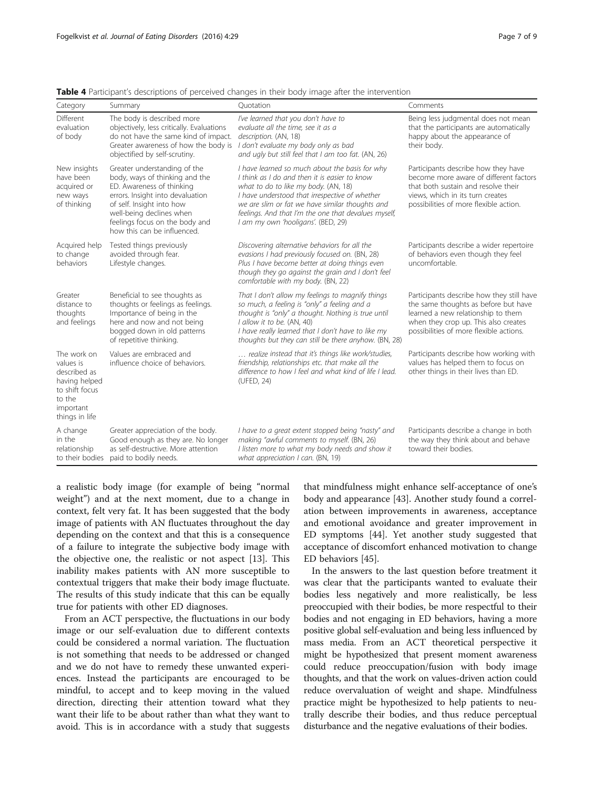| Category                                                                                                             | Summary                                                                                                                                                                                                                                                   | Ouotation                                                                                                                                                                                                                                                                                                                                  | Comments                                                                                                                                                                                                   |
|----------------------------------------------------------------------------------------------------------------------|-----------------------------------------------------------------------------------------------------------------------------------------------------------------------------------------------------------------------------------------------------------|--------------------------------------------------------------------------------------------------------------------------------------------------------------------------------------------------------------------------------------------------------------------------------------------------------------------------------------------|------------------------------------------------------------------------------------------------------------------------------------------------------------------------------------------------------------|
| Different<br>evaluation<br>of body                                                                                   | The body is described more<br>objectively, less critically. Evaluations<br>do not have the same kind of impact.<br>Greater awareness of how the body is<br>objectified by self-scrutiny.                                                                  | I've learned that you don't have to<br>evaluate all the time, see it as a<br>description. (AN, 18)<br>I don't evaluate my body only as bad<br>and ugly but still feel that I am too fat. (AN, 26)                                                                                                                                          | Being less judgmental does not mean<br>that the participants are automatically<br>happy about the appearance of<br>their body.                                                                             |
| New insights<br>have been<br>acquired or<br>new ways<br>of thinking                                                  | Greater understanding of the<br>body, ways of thinking and the<br>ED. Awareness of thinking<br>errors. Insight into devaluation<br>of self. Insight into how<br>well-being declines when<br>feelings focus on the body and<br>how this can be influenced. | I have learned so much about the basis for why<br>I think as I do and then it is easier to know<br>what to do to like my body. (AN, 18)<br>I have understood that irrespective of whether<br>we are slim or fat we have similar thoughts and<br>feelings. And that I'm the one that devalues myself,<br>I am my own 'hooligans'. (BED, 29) | Participants describe how they have<br>become more aware of different factors<br>that both sustain and resolve their<br>views, which in its turn creates<br>possibilities of more flexible action.         |
| Acquired help<br>to change<br>behaviors                                                                              | Tested things previously<br>avoided through fear.<br>Lifestyle changes.                                                                                                                                                                                   | Discovering alternative behaviors for all the<br>evasions I had previously focused on. (BN, 28)<br>Plus I have become better at doing things even<br>though they go against the grain and I don't feel<br>comfortable with my body. (BN, 22)                                                                                               | Participants describe a wider repertoire<br>of behaviors even though they feel<br>uncomfortable.                                                                                                           |
| Greater<br>distance to<br>thoughts<br>and feelings                                                                   | Beneficial to see thoughts as<br>thoughts or feelings as feelings.<br>Importance of being in the<br>here and now and not being<br>bogged down in old patterns<br>of repetitive thinking.                                                                  | That I don't allow my feelings to magnify things<br>so much, a feeling is "only" a feeling and a<br>thought is "only" a thought. Nothing is true until<br>I allow it to be. (AN, 40)<br>I have really learned that I don't have to like my<br>thoughts but they can still be there anyhow. (BN, 28)                                        | Participants describe how they still have<br>the same thoughts as before but have<br>learned a new relationship to them<br>when they crop up. This also creates<br>possibilities of more flexible actions. |
| The work on<br>values is<br>described as<br>having helped<br>to shift focus<br>to the<br>important<br>things in life | Values are embraced and<br>influence choice of behaviors.                                                                                                                                                                                                 | realize instead that it's things like work/studies,<br>friendship, relationships etc. that make all the<br>difference to how I feel and what kind of life I lead.<br>(UFED, 24)                                                                                                                                                            | Participants describe how working with<br>values has helped them to focus on<br>other things in their lives than ED.                                                                                       |
| A change<br>in the<br>relationship<br>to their bodies                                                                | Greater appreciation of the body.<br>Good enough as they are. No longer<br>as self-destructive. More attention<br>paid to bodily needs.                                                                                                                   | I have to a great extent stopped being "nasty" and<br>making "awful comments to myself. (BN, 26)<br>I listen more to what my body needs and show it<br>what appreciation I can. (BN, 19)                                                                                                                                                   | Participants describe a change in both<br>the way they think about and behave<br>toward their bodies.                                                                                                      |

<span id="page-6-0"></span>**Table 4** Participant's descriptions of perceived changes in their body image after the intervention

a realistic body image (for example of being "normal weight") and at the next moment, due to a change in context, felt very fat. It has been suggested that the body image of patients with AN fluctuates throughout the day depending on the context and that this is a consequence of a failure to integrate the subjective body image with the objective one, the realistic or not aspect [[13\]](#page-8-0). This inability makes patients with AN more susceptible to contextual triggers that make their body image fluctuate. The results of this study indicate that this can be equally true for patients with other ED diagnoses.

From an ACT perspective, the fluctuations in our body image or our self-evaluation due to different contexts could be considered a normal variation. The fluctuation is not something that needs to be addressed or changed and we do not have to remedy these unwanted experiences. Instead the participants are encouraged to be mindful, to accept and to keep moving in the valued direction, directing their attention toward what they want their life to be about rather than what they want to avoid. This is in accordance with a study that suggests

that mindfulness might enhance self-acceptance of one's body and appearance [\[43](#page-8-0)]. Another study found a correlation between improvements in awareness, acceptance and emotional avoidance and greater improvement in ED symptoms [\[44](#page-8-0)]. Yet another study suggested that acceptance of discomfort enhanced motivation to change ED behaviors [\[45](#page-8-0)].

In the answers to the last question before treatment it was clear that the participants wanted to evaluate their bodies less negatively and more realistically, be less preoccupied with their bodies, be more respectful to their bodies and not engaging in ED behaviors, having a more positive global self-evaluation and being less influenced by mass media. From an ACT theoretical perspective it might be hypothesized that present moment awareness could reduce preoccupation/fusion with body image thoughts, and that the work on values-driven action could reduce overvaluation of weight and shape. Mindfulness practice might be hypothesized to help patients to neutrally describe their bodies, and thus reduce perceptual disturbance and the negative evaluations of their bodies.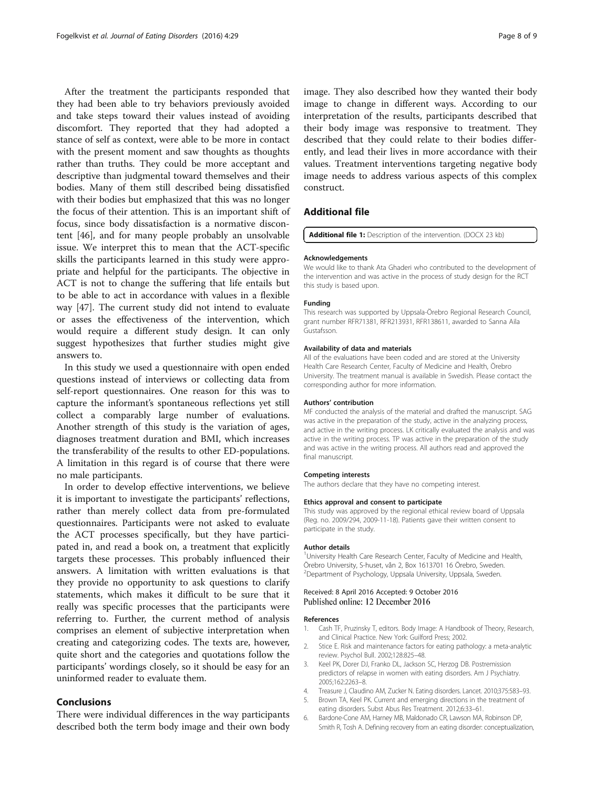<span id="page-7-0"></span>After the treatment the participants responded that they had been able to try behaviors previously avoided and take steps toward their values instead of avoiding discomfort. They reported that they had adopted a stance of self as context, were able to be more in contact with the present moment and saw thoughts as thoughts rather than truths. They could be more acceptant and descriptive than judgmental toward themselves and their bodies. Many of them still described being dissatisfied with their bodies but emphasized that this was no longer the focus of their attention. This is an important shift of focus, since body dissatisfaction is a normative discontent [\[46](#page-8-0)], and for many people probably an unsolvable issue. We interpret this to mean that the ACT-specific skills the participants learned in this study were appropriate and helpful for the participants. The objective in ACT is not to change the suffering that life entails but to be able to act in accordance with values in a flexible way [[47](#page-8-0)]. The current study did not intend to evaluate or asses the effectiveness of the intervention, which would require a different study design. It can only suggest hypothesizes that further studies might give answers to.

In this study we used a questionnaire with open ended questions instead of interviews or collecting data from self-report questionnaires. One reason for this was to capture the informant's spontaneous reflections yet still collect a comparably large number of evaluations. Another strength of this study is the variation of ages, diagnoses treatment duration and BMI, which increases the transferability of the results to other ED-populations. A limitation in this regard is of course that there were no male participants.

In order to develop effective interventions, we believe it is important to investigate the participants' reflections, rather than merely collect data from pre-formulated questionnaires. Participants were not asked to evaluate the ACT processes specifically, but they have participated in, and read a book on, a treatment that explicitly targets these processes. This probably influenced their answers. A limitation with written evaluations is that they provide no opportunity to ask questions to clarify statements, which makes it difficult to be sure that it really was specific processes that the participants were referring to. Further, the current method of analysis comprises an element of subjective interpretation when creating and categorizing codes. The texts are, however, quite short and the categories and quotations follow the participants' wordings closely, so it should be easy for an uninformed reader to evaluate them.

## Conclusions

There were individual differences in the way participants described both the term body image and their own body

image. They also described how they wanted their body image to change in different ways. According to our interpretation of the results, participants described that their body image was responsive to treatment. They described that they could relate to their bodies differently, and lead their lives in more accordance with their values. Treatment interventions targeting negative body image needs to address various aspects of this complex construct.

## Additional file

[Additional file 1:](dx.doi.org/10.1186/s40337-016-0120-4) Description of the intervention. (DOCX 23 kb)

#### Acknowledgements

We would like to thank Ata Ghaderi who contributed to the development of the intervention and was active in the process of study design for the RCT this study is based upon.

#### Funding

This research was supported by Uppsala-Örebro Regional Research Council, grant number RFR71381, RFR213931, RFR138611, awarded to Sanna Aila Gustafsson.

#### Availability of data and materials

All of the evaluations have been coded and are stored at the University Health Care Research Center, Faculty of Medicine and Health, Örebro University. The treatment manual is available in Swedish. Please contact the corresponding author for more information.

#### Authors' contribution

MF conducted the analysis of the material and drafted the manuscript. SAG was active in the preparation of the study, active in the analyzing process, and active in the writing process. LK critically evaluated the analysis and was active in the writing process. TP was active in the preparation of the study and was active in the writing process. All authors read and approved the final manuscript.

#### Competing interests

The authors declare that they have no competing interest.

#### Ethics approval and consent to participate

This study was approved by the regional ethical review board of Uppsala (Reg. no. 2009/294, 2009-11-18). Patients gave their written consent to participate in the study.

#### Author details

<sup>1</sup>University Health Care Research Center, Faculty of Medicine and Health, Örebro University, S-huset, vån 2, Box 1613701 16 Örebro, Sweden. 2 Department of Psychology, Uppsala University, Uppsala, Sweden.

#### Received: 8 April 2016 Accepted: 9 October 2016 Published online: 12 December 2016

#### References

- 1. Cash TF, Pruzinsky T, editors. Body Image: A Handbook of Theory, Research, and Clinical Practice. New York: Guilford Press; 2002.
- 2. Stice E. Risk and maintenance factors for eating pathology: a meta-analytic review. Psychol Bull. 2002;128:825–48.
- 3. Keel PK, Dorer DJ, Franko DL, Jackson SC, Herzog DB. Postremission predictors of relapse in women with eating disorders. Am J Psychiatry. 2005;162:2263–8.
- 4. Treasure J, Claudino AM, Zucker N. Eating disorders. Lancet. 2010;375:583–93.
- 5. Brown TA, Keel PK. Current and emerging directions in the treatment of
- eating disorders. Subst Abus Res Treatment. 2012;6:33–61. 6. Bardone-Cone AM, Harney MB, Maldonado CR, Lawson MA, Robinson DP, Smith R, Tosh A. Defining recovery from an eating disorder: conceptualization,